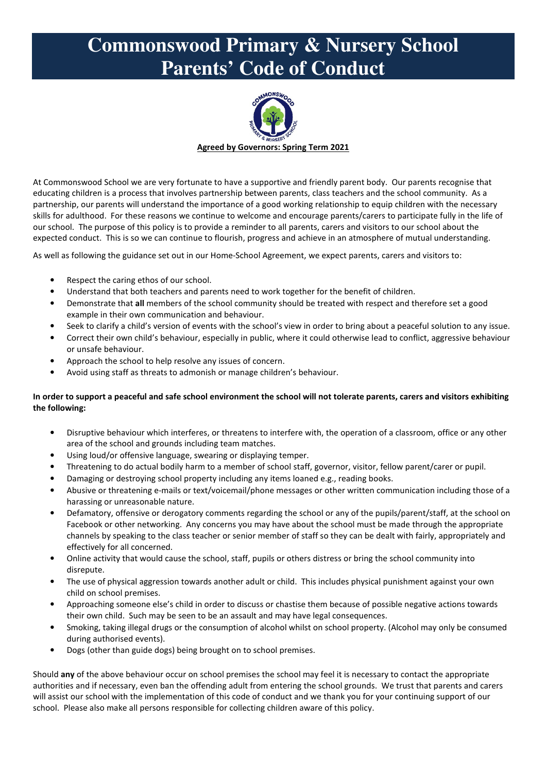## **Commonswood Primary & Nursery School Parents' Code of Conduct**



At Commonswood School we are very fortunate to have a supportive and friendly parent body. Our parents recognise that educating children is a process that involves partnership between parents, class teachers and the school community. As a partnership, our parents will understand the importance of a good working relationship to equip children with the necessary skills for adulthood. For these reasons we continue to welcome and encourage parents/carers to participate fully in the life of our school. The purpose of this policy is to provide a reminder to all parents, carers and visitors to our school about the expected conduct. This is so we can continue to flourish, progress and achieve in an atmosphere of mutual understanding.

As well as following the guidance set out in our Home-School Agreement, we expect parents, carers and visitors to:

- Respect the caring ethos of our school.
- Understand that both teachers and parents need to work together for the benefit of children.
- Demonstrate that **all** members of the school community should be treated with respect and therefore set a good example in their own communication and behaviour.
- Seek to clarify a child's version of events with the school's view in order to bring about a peaceful solution to any issue.
- Correct their own child's behaviour, especially in public, where it could otherwise lead to conflict, aggressive behaviour or unsafe behaviour.
- Approach the school to help resolve any issues of concern.
- Avoid using staff as threats to admonish or manage children's behaviour.

## **In order to support a peaceful and safe school environment the school will not tolerate parents, carers and visitors exhibiting the following:**

- Disruptive behaviour which interferes, or threatens to interfere with, the operation of a classroom, office or any other area of the school and grounds including team matches.
- Using loud/or offensive language, swearing or displaying temper.
- Threatening to do actual bodily harm to a member of school staff, governor, visitor, fellow parent/carer or pupil.
- Damaging or destroying school property including any items loaned e.g., reading books.
- Abusive or threatening e-mails or text/voicemail/phone messages or other written communication including those of a harassing or unreasonable nature.
- Defamatory, offensive or derogatory comments regarding the school or any of the pupils/parent/staff, at the school on Facebook or other networking. Any concerns you may have about the school must be made through the appropriate channels by speaking to the class teacher or senior member of staff so they can be dealt with fairly, appropriately and effectively for all concerned.
- Online activity that would cause the school, staff, pupils or others distress or bring the school community into disrepute.
- The use of physical aggression towards another adult or child. This includes physical punishment against your own child on school premises.
- Approaching someone else's child in order to discuss or chastise them because of possible negative actions towards their own child. Such may be seen to be an assault and may have legal consequences.
- Smoking, taking illegal drugs or the consumption of alcohol whilst on school property. (Alcohol may only be consumed during authorised events).
- Dogs (other than guide dogs) being brought on to school premises.

Should **any** of the above behaviour occur on school premises the school may feel it is necessary to contact the appropriate authorities and if necessary, even ban the offending adult from entering the school grounds. We trust that parents and carers will assist our school with the implementation of this code of conduct and we thank you for your continuing support of our school. Please also make all persons responsible for collecting children aware of this policy.